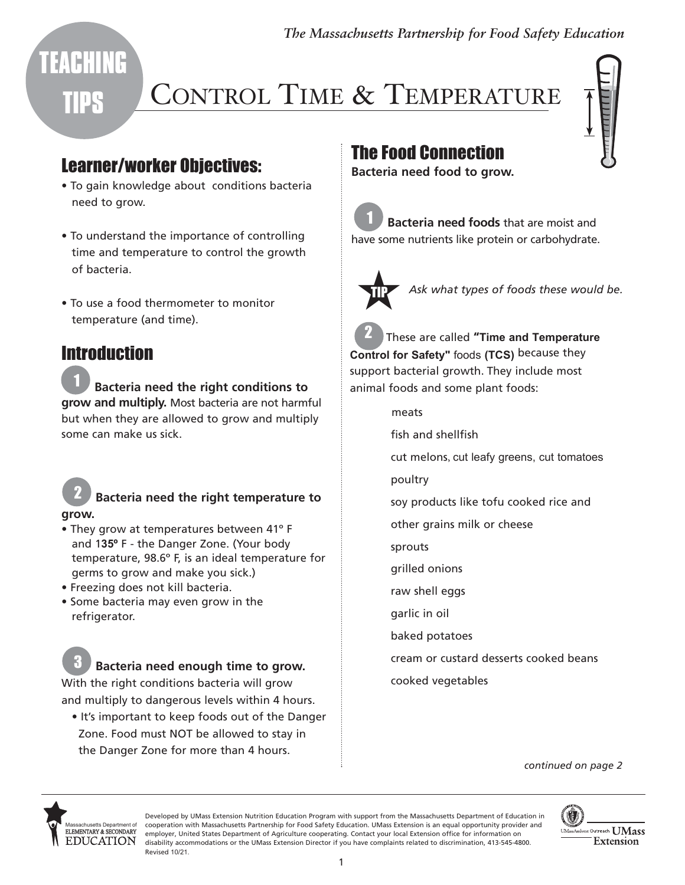*The Massachusetts Partnership for Food Safety Education* 

# **TIPS**

**TEACHING** 

## CONTROL TIME & TEMPERATURE

#### Learner/worker Objectives:

- To gain knowledge about conditions bacteria need to grow.
- To understand the importance of controlling time and temperature to control the growth of bacteria.
- To use a food thermometer to monitor temperature (and time).

### **Introduction**

1 **Bacteria need the right conditions to grow and multiply.** Most bacteria are not harmful but when they are allowed to grow and multiply some can make us sick.

2 **Bacteria need the right temperature to grow.** 

- They grow at temperatures between 41º F and 1**35º** F - the Danger Zone. (Your body temperature, 98.6º F, is an ideal temperature for germs to grow and make you sick.)
- Freezing does not kill bacteria.
- Some bacteria may even grow in the refrigerator.

3 **Bacteria need enough time to grow.**

With the right conditions bacteria will grow and multiply to dangerous levels within 4 hours.

• It's important to keep foods out of the Danger Zone. Food must NOT be allowed to stay in the Danger Zone for more than 4 hours.

## The Food Connection

**Bacteria need food to grow.** 

**Bacteria need foods** that are moist and have some nutrients like protein or carbohydrate.



Ask what types of foods these would be.

2 These are called **"Time and Temperature Control for Safety"** foods **(TCS)** because they support bacterial growth. They include most animal foods and some plant foods:

- meats
- fish and shellfish

cut melons, cut leafy greens, cut tomatoes

poultry

soy products like tofu cooked rice and

other grains milk or cheese

sprouts

grilled onions

raw shell eggs

garlic in oil

baked potatoes

cream or custard desserts cooked beans

cooked vegetables

*continued on page 2* 



Developed by UMass Extension Nutrition Education Program with support from the Massachusetts Department of Education in cooperation with Massachusetts Partnership for Food Safety Education. UMass Extension is an equal opportunity provider and employer, United States Department of Agriculture cooperating. Contact your local Extension office for information on disability accommodations or the UMass Extension Director if you have complaints related to discrimination, 413-545-4800. Revised 10/21.

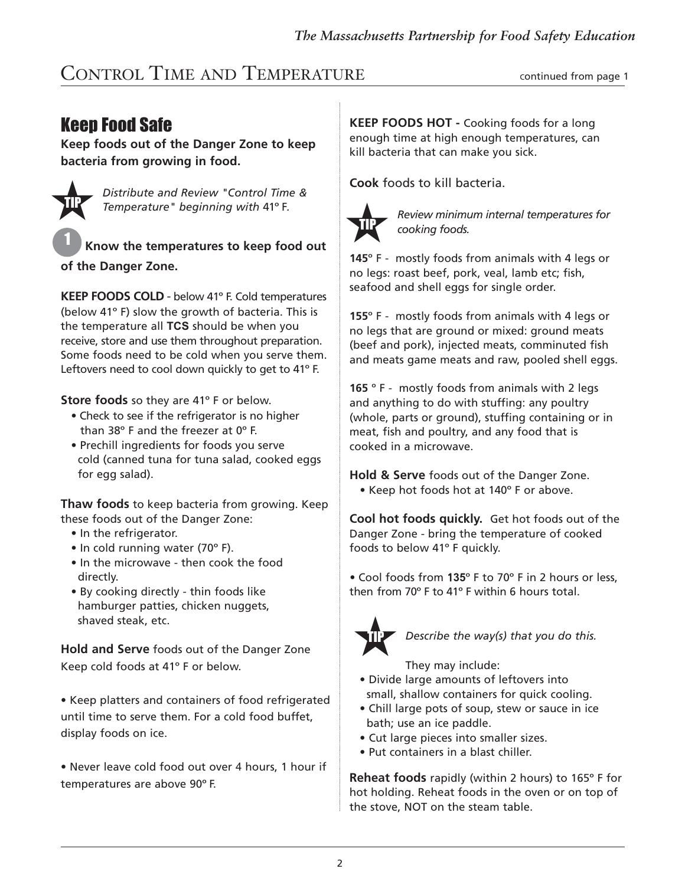#### CONTROL TIME AND TEMPERATURE CONTROL TIME AND TEMPERATURE

#### Keep Food Safe

**Keep foods out of the Danger Zone to keep bacteria from growing in food.** 



*Distribute and Review "Control Time & Temperature" beginning with* 41º F*.* 

<sup>1</sup>**Know the temperatures to keep food out of the Danger Zone.** 

**KEEP FOODS COLD** - below 41º F. Cold temperatures (below 41º F) slow the growth of bacteria. This is the temperature all **TCS** should be when you receive, store and use them throughout preparation. Some foods need to be cold when you serve them. Leftovers need to cool down quickly to get to 41º F.

**Store foods** so they are 41° F or below.

- Check to see if the refrigerator is no higher than 38º F and the freezer at 0º F.
- Prechill ingredients for foods you serve cold (canned tuna for tuna salad, cooked eggs for egg salad).

**Thaw foods** to keep bacteria from growing. Keep these foods out of the Danger Zone:

- In the refrigerator.
- In cold running water (70° F).
- In the microwave then cook the food directly.
- By cooking directly thin foods like hamburger patties, chicken nuggets, shaved steak, etc.

**Hold and Serve** foods out of the Danger Zone Keep cold foods at 41º F or below.

• Keep platters and containers of food refrigerated until time to serve them. For a cold food buffet, display foods on ice.

 Never leave cold food out over 4 hours, 1 hour if temperatures are above 90º F.

**KEEP FOODS HOT -** Cooking foods for a long enough time at high enough temperatures, can kill bacteria that can make you sick.

**Cook** foods to kill bacteria.



*Review minimum internal temperatures for cooking foods.* 

**145**º F - mostly foods from animals with 4 legs or no legs: roast beef, pork, veal, lamb etc; fish, seafood and shell eggs for single order.

**155**º F - mostly foods from animals with 4 legs or no legs that are ground or mixed: ground meats (beef and pork), injected meats, comminuted fish and meats game meats and raw, pooled shell eggs.

**165** º F - mostly foods from animals with 2 legs and anything to do with stuffing: any poultry (whole, parts or ground), stuffing containing or in meat, fish and poultry, and any food that is cooked in a microwave.

**Hold & Serve** foods out of the Danger Zone.

• Keep hot foods hot at 140° F or above.

**Cool hot foods quickly.** Get hot foods out of the Danger Zone - bring the temperature of cooked foods to below 41º F quickly.

Cool foods from 1**35**º F to 70º F in 2 hours or less, then from 70º F to 41º F within 6 hours total.



*Describe the way(s) that you do this.* 

They may include:

- Divide large amounts of leftovers into small, shallow containers for quick cooling.
- Chill large pots of soup, stew or sauce in ice bath; use an ice paddle.
- Cut large pieces into smaller sizes.
- Put containers in a blast chiller.

**Reheat foods** rapidly (within 2 hours) to 165º F for hot holding. Reheat foods in the oven or on top of the stove, NOT on the steam table.